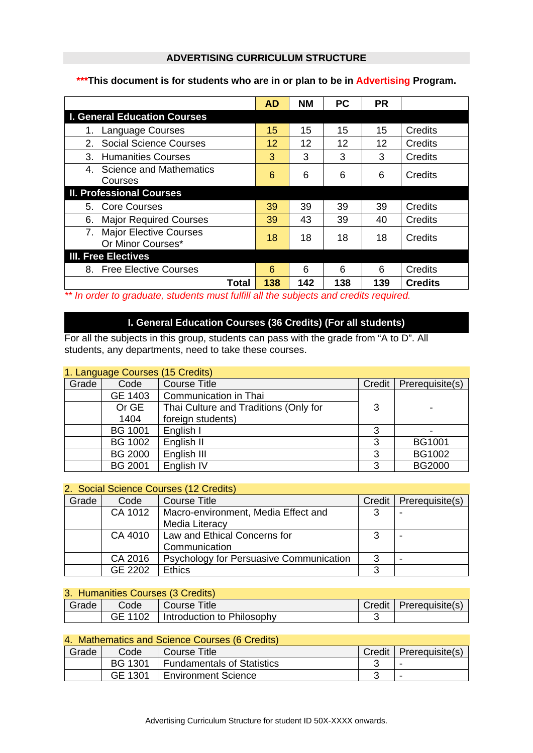### **ADVERTISING CURRICULUM STRUCTURE**

### **\*\*\*This document is for students who are in or plan to be in Advertising Program.**

|                                                    | <b>AD</b> | <b>NM</b> | <b>PC</b> | <b>PR</b> |                |
|----------------------------------------------------|-----------|-----------|-----------|-----------|----------------|
| <b>I. General Education Courses</b>                |           |           |           |           |                |
| Language Courses                                   | 15        | 15        | 15        | 15        | Credits        |
| <b>Social Science Courses</b><br>$2_{-}$           | 12        | 12        | 12        | 12        | Credits        |
| <b>Humanities Courses</b><br>3.                    | 3         | 3         | 3         | 3         | Credits        |
| 4. Science and Mathematics<br>Courses              | 6         | 6         | 6         | 6         | Credits        |
| <b>II. Professional Courses</b>                    |           |           |           |           |                |
| 5. Core Courses                                    | 39        | 39        | 39        | 39        | <b>Credits</b> |
| <b>Major Required Courses</b><br>6.                | 39        | 43        | 39        | 40        | Credits        |
| <b>Major Elective Courses</b><br>Or Minor Courses* | 18        | 18        | 18        | 18        | Credits        |
| <b>III. Free Electives</b>                         |           |           |           |           |                |
| 8. Free Elective Courses                           | 6         | 6         | 6         | 6         | Credits        |
| Total                                              | 138       | 142       | 138       | 139       | <b>Credits</b> |

*\*\* In order to graduate, students must fulfill all the subjects and credits required.* 

## **I. General Education Courses (36 Credits) (For all students)**

For all the subjects in this group, students can pass with the grade from "A to D". All students, any departments, need to take these courses.

|       | 1. Language Courses (15 Credits) |                                       |   |                          |
|-------|----------------------------------|---------------------------------------|---|--------------------------|
| Grade | Code                             | <b>Course Title</b>                   |   | Credit   Prerequisite(s) |
|       | GE 1403                          | Communication in Thai                 |   |                          |
|       | Or GE                            | Thai Culture and Traditions (Only for | 3 |                          |
|       | 1404                             | foreign students)                     |   |                          |
|       | <b>BG 1001</b>                   | English I                             | 3 |                          |
|       | <b>BG 1002</b>                   | English II                            | 3 | BG1001                   |
|       | <b>BG 2000</b>                   | English III                           | 3 | <b>BG1002</b>            |
|       | <b>BG 2001</b>                   | English IV                            | 3 | <b>BG2000</b>            |

## 2. Social Science Courses (12 Credits)

| Grade | Code    | <b>Course Title</b>                     | Credit | Prerequisite(s) |
|-------|---------|-----------------------------------------|--------|-----------------|
|       | CA 1012 | Macro-environment, Media Effect and     | 3      |                 |
|       |         | Media Literacy                          |        |                 |
|       | CA 4010 | Law and Ethical Concerns for            | 3      |                 |
|       |         | Communication                           |        |                 |
|       | CA 2016 | Psychology for Persuasive Communication | 3      |                 |
|       | GE 2202 | <b>Ethics</b>                           | ર      |                 |

|       | 3. Humanities Courses (3 Credits) |                                      |  |                          |  |  |
|-------|-----------------------------------|--------------------------------------|--|--------------------------|--|--|
| Grade | Code                              | Course Title                         |  | Credit   Prerequisite(s) |  |  |
|       |                                   | GE 1102   Introduction to Philosophy |  |                          |  |  |

| 4. Mathematics and Science Courses (6 Credits) |                |                                   |  |                          |  |  |
|------------------------------------------------|----------------|-----------------------------------|--|--------------------------|--|--|
| Grade                                          | Code           | I Course Title                    |  | Credit   Prerequisite(s) |  |  |
|                                                | <b>BG 1301</b> | <b>Fundamentals of Statistics</b> |  | -                        |  |  |
|                                                | GE 1301        | <b>Environment Science</b>        |  | $\overline{\phantom{0}}$ |  |  |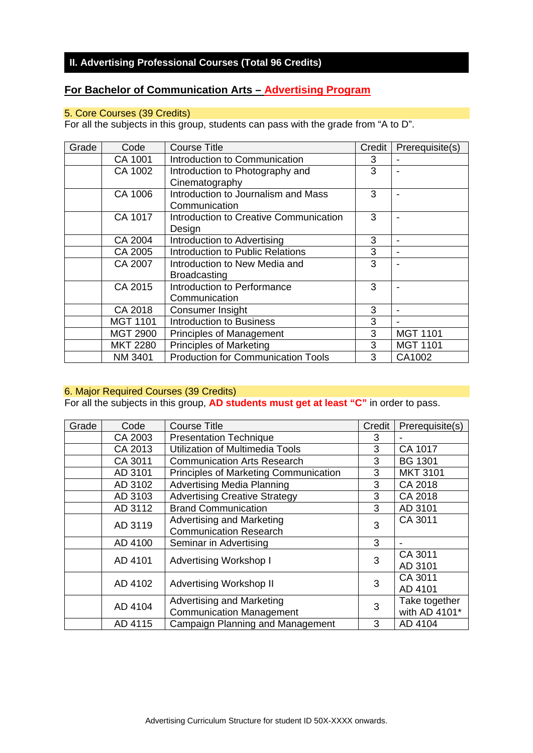# **II. Advertising Professional Courses (Total 96 Credits)**

# **For Bachelor of Communication Arts – Advertising Program**

## 5. Core Courses (39 Credits)

For all the subjects in this group, students can pass with the grade from "A to D".

| Grade | Code            | <b>Course Title</b>                       | Credit | Prerequisite(s) |
|-------|-----------------|-------------------------------------------|--------|-----------------|
|       | CA 1001         | Introduction to Communication             | 3      |                 |
|       | CA 1002         | Introduction to Photography and           | 3      |                 |
|       |                 | Cinematography                            |        |                 |
|       | CA 1006         | Introduction to Journalism and Mass       | 3      |                 |
|       |                 | Communication                             |        |                 |
|       | CA 1017         | Introduction to Creative Communication    | 3      |                 |
|       |                 | Design                                    |        |                 |
|       | CA 2004         | Introduction to Advertising               | 3      |                 |
|       | CA 2005         | Introduction to Public Relations          | 3      |                 |
|       | CA 2007         | Introduction to New Media and             | 3      |                 |
|       |                 | <b>Broadcasting</b>                       |        |                 |
|       | CA 2015         | Introduction to Performance               | 3      |                 |
|       |                 | Communication                             |        |                 |
|       | CA 2018         | Consumer Insight                          | 3      |                 |
|       | <b>MGT 1101</b> | <b>Introduction to Business</b>           | 3      |                 |
|       | <b>MGT 2900</b> | <b>Principles of Management</b>           | 3      | <b>MGT 1101</b> |
|       | <b>MKT 2280</b> | <b>Principles of Marketing</b>            | 3      | <b>MGT 1101</b> |
|       | NM 3401         | <b>Production for Communication Tools</b> | 3      | CA1002          |

#### 6. Major Required Courses (39 Credits)

For all the subjects in this group, **AD students must get at least "C"** in order to pass.

| Grade | Code    | Course Title                           | Credit | Prerequisite(s) |
|-------|---------|----------------------------------------|--------|-----------------|
|       | CA 2003 | <b>Presentation Technique</b>          | 3      |                 |
|       | CA 2013 | <b>Utilization of Multimedia Tools</b> | 3      | CA 1017         |
|       | CA 3011 | <b>Communication Arts Research</b>     | 3      | <b>BG 1301</b>  |
|       | AD 3101 | Principles of Marketing Communication  | 3      | <b>MKT 3101</b> |
|       | AD 3102 | <b>Advertising Media Planning</b>      | 3      | CA 2018         |
|       | AD 3103 | <b>Advertising Creative Strategy</b>   | 3      | CA 2018         |
|       | AD 3112 | <b>Brand Communication</b>             | 3      | AD 3101         |
|       | AD 3119 | Advertising and Marketing              | 3      | CA 3011         |
|       |         | <b>Communication Research</b>          |        |                 |
|       | AD 4100 | Seminar in Advertising                 | 3      |                 |
|       | AD 4101 | <b>Advertising Workshop I</b>          | 3      | CA 3011         |
|       |         |                                        |        | AD 3101         |
|       | AD 4102 | <b>Advertising Workshop II</b>         | 3      | CA 3011         |
|       |         |                                        |        | AD 4101         |
|       | AD 4104 | <b>Advertising and Marketing</b>       | 3      | Take together   |
|       |         | <b>Communication Management</b>        |        | with AD 4101*   |
|       | AD 4115 | Campaign Planning and Management       | 3      | AD 4104         |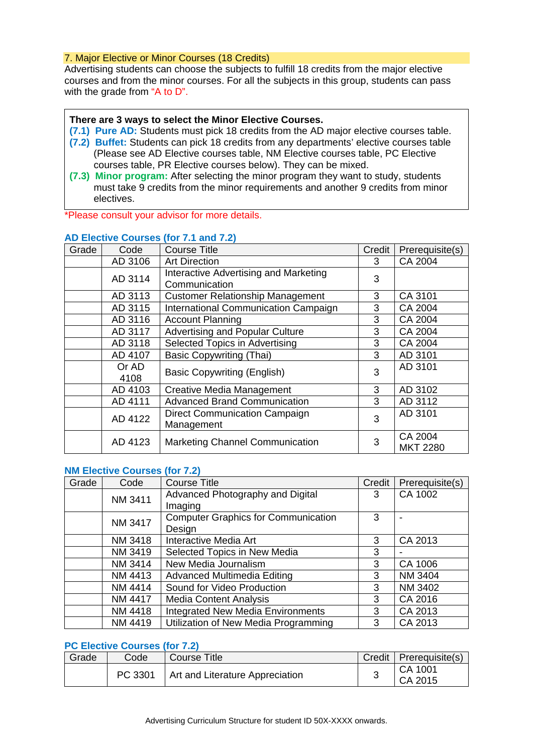### 7. Major Elective or Minor Courses (18 Credits)

Advertising students can choose the subjects to fulfill 18 credits from the major elective courses and from the minor courses. For all the subjects in this group, students can pass with the grade from "A to D".

#### **There are 3 ways to select the Minor Elective Courses.**

- **(7.1) Pure AD:** Students must pick 18 credits from the AD major elective courses table.
- **(7.2) Buffet:** Students can pick 18 credits from any departments' elective courses table (Please see AD Elective courses table, NM Elective courses table, PC Elective courses table, PR Elective courses below). They can be mixed.
- **(7.3) Minor program:** After selecting the minor program they want to study, students must take 9 credits from the minor requirements and another 9 credits from minor electives.

\*Please consult your advisor for more details.

| Grade | Code          | <b>Course Title</b>                                    | Credit | Prerequisite(s)            |
|-------|---------------|--------------------------------------------------------|--------|----------------------------|
|       | AD 3106       | <b>Art Direction</b>                                   | 3      | CA 2004                    |
|       | AD 3114       | Interactive Advertising and Marketing<br>Communication | 3      |                            |
|       | AD 3113       | <b>Customer Relationship Management</b>                | 3      | CA 3101                    |
|       | AD 3115       | International Communication Campaign                   | 3      | CA 2004                    |
|       |               |                                                        |        |                            |
|       | AD 3116       | <b>Account Planning</b>                                | 3      | CA 2004                    |
|       | AD 3117       | <b>Advertising and Popular Culture</b>                 | 3      | CA 2004                    |
|       | AD 3118       | Selected Topics in Advertising                         | 3      | CA 2004                    |
|       | AD 4107       | <b>Basic Copywriting (Thai)</b>                        | 3      | AD 3101                    |
|       | Or AD<br>4108 | <b>Basic Copywriting (English)</b>                     | 3      | AD 3101                    |
|       | AD 4103       | <b>Creative Media Management</b>                       | 3      | AD 3102                    |
|       | AD 4111       | <b>Advanced Brand Communication</b>                    | 3      | AD 3112                    |
|       | AD 4122       | Direct Communication Campaign<br>Management            | 3      | AD 3101                    |
|       | AD 4123       | <b>Marketing Channel Communication</b>                 | 3      | CA 2004<br><b>MKT 2280</b> |

#### **AD Elective Courses (for 7.1 and 7.2)**

### **NM Elective Courses (for 7.2)**

| Grade | Code    | <b>Course Title</b>                        | Credit | Prerequisite(s) |
|-------|---------|--------------------------------------------|--------|-----------------|
|       | NM 3411 | Advanced Photography and Digital           | 3      | CA 1002         |
|       |         | Imaging                                    |        |                 |
|       | NM 3417 | <b>Computer Graphics for Communication</b> | 3      |                 |
|       |         | Design                                     |        |                 |
|       | NM 3418 | <b>Interactive Media Art</b>               | 3      | CA 2013         |
|       | NM 3419 | Selected Topics in New Media               | 3      |                 |
|       | NM 3414 | New Media Journalism                       | 3      | CA 1006         |
|       | NM 4413 | <b>Advanced Multimedia Editing</b>         | 3      | NM 3404         |
|       | NM 4414 | Sound for Video Production                 | 3      | NM 3402         |
|       | NM 4417 | <b>Media Content Analysis</b>              | 3      | CA 2016         |
|       | NM 4418 | <b>Integrated New Media Environments</b>   | 3      | CA 2013         |
|       | NM 4419 | Utilization of New Media Programming       | 3      | CA 2013         |

#### **PC Elective Courses (for 7.2)**

| Grade | Code    | Course Title                    | Credit | Prerequisite(s)    |
|-------|---------|---------------------------------|--------|--------------------|
|       | PC 3301 | Art and Literature Appreciation |        | CA 1001<br>CA 2015 |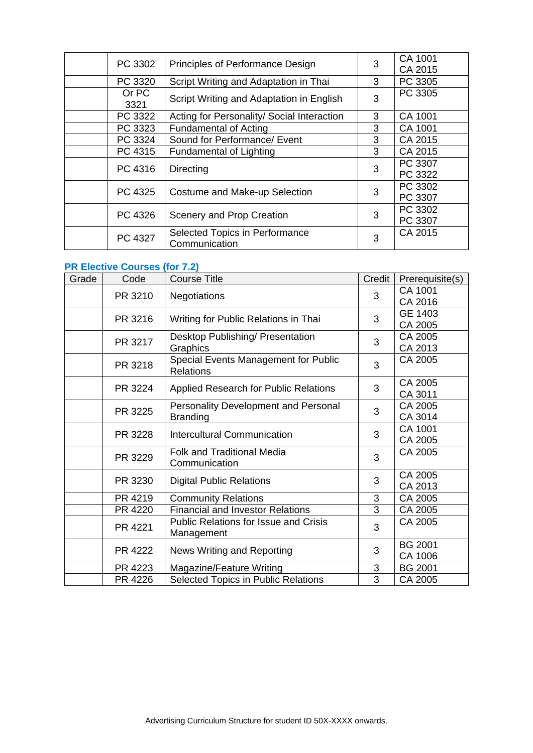| PC 3302       | Principles of Performance Design                | 3 | CA 1001<br>CA 2015 |
|---------------|-------------------------------------------------|---|--------------------|
| PC 3320       | Script Writing and Adaptation in Thai           | 3 | PC 3305            |
| Or PC<br>3321 | Script Writing and Adaptation in English        | 3 | PC 3305            |
| PC 3322       | Acting for Personality/ Social Interaction      | 3 | CA 1001            |
| PC 3323       | <b>Fundamental of Acting</b>                    | 3 | CA 1001            |
| PC 3324       | Sound for Performance/ Event                    | 3 | CA 2015            |
| PC 4315       | <b>Fundamental of Lighting</b>                  | 3 | CA 2015            |
| PC 4316       | Directing                                       | 3 | PC 3307<br>PC 3322 |
| PC 4325       | Costume and Make-up Selection                   | 3 | PC 3302<br>PC 3307 |
| PC 4326       | Scenery and Prop Creation                       | 3 | PC 3302<br>PC 3307 |
| PC 4327       | Selected Topics in Performance<br>Communication | 3 | CA 2015            |

# **PR Elective Courses (for 7.2)**

| Grade | Code    | <b>Course Title</b>                          | Credit | Prerequisite(s) |
|-------|---------|----------------------------------------------|--------|-----------------|
|       | PR 3210 | Negotiations                                 | 3      | CA 1001         |
|       |         |                                              |        | CA 2016         |
|       | PR 3216 | Writing for Public Relations in Thai         | 3      | GE 1403         |
|       |         |                                              |        | CA 2005         |
|       | PR 3217 | Desktop Publishing/ Presentation             | 3      | CA 2005         |
|       |         | Graphics                                     |        | CA 2013         |
|       | PR 3218 | Special Events Management for Public         | 3      | CA 2005         |
|       |         | <b>Relations</b>                             |        |                 |
|       | PR 3224 | Applied Research for Public Relations        | 3      | CA 2005         |
|       |         |                                              |        | CA 3011         |
|       | PR 3225 | <b>Personality Development and Personal</b>  | 3      | CA 2005         |
|       |         | <b>Branding</b>                              |        | CA 3014         |
|       | PR 3228 | <b>Intercultural Communication</b>           | 3      | CA 1001         |
|       |         |                                              |        | CA 2005         |
|       | PR 3229 | <b>Folk and Traditional Media</b>            | 3      | CA 2005         |
|       |         | Communication                                |        |                 |
|       | PR 3230 | <b>Digital Public Relations</b>              | 3      | CA 2005         |
|       |         |                                              |        | CA 2013         |
|       | PR 4219 | <b>Community Relations</b>                   | 3      | CA 2005         |
|       | PR 4220 | <b>Financial and Investor Relations</b>      | 3      | CA 2005         |
|       | PR 4221 | <b>Public Relations for Issue and Crisis</b> | 3      | CA 2005         |
|       |         | Management                                   |        |                 |
|       | PR 4222 | News Writing and Reporting                   | 3      | <b>BG 2001</b>  |
|       |         |                                              |        | CA 1006         |
|       | PR 4223 | Magazine/Feature Writing                     | 3      | <b>BG 2001</b>  |
|       | PR 4226 | Selected Topics in Public Relations          | 3      | CA 2005         |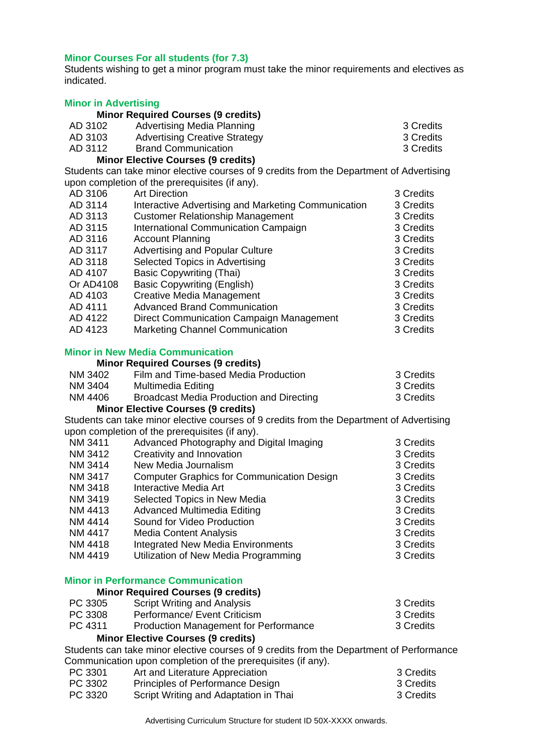### **Minor Courses For all students (for 7.3)**

Students wishing to get a minor program must take the minor requirements and electives as indicated.

#### **Minor in Advertising**

|         | <b>Minor Required Courses (9 credits)</b> |           |
|---------|-------------------------------------------|-----------|
| AD 3102 | <b>Advertising Media Planning</b>         | 3 Credits |
| AD 3103 | <b>Advertising Creative Strategy</b>      | 3 Credits |
| AD 3112 | <b>Brand Communication</b>                | 3 Credits |

### **Minor Elective Courses (9 credits)**

Students can take minor elective courses of 9 credits from the Department of Advertising upon completion of the prerequisites (if any).

| upon completion of the prerequisites (if any). |                                                     |           |  |
|------------------------------------------------|-----------------------------------------------------|-----------|--|
| AD 3106                                        | <b>Art Direction</b>                                | 3 Credits |  |
| AD 3114                                        | Interactive Advertising and Marketing Communication | 3 Credits |  |
| AD 3113                                        | <b>Customer Relationship Management</b>             | 3 Credits |  |
| AD 3115                                        | International Communication Campaign                | 3 Credits |  |
| AD 3116                                        | <b>Account Planning</b>                             | 3 Credits |  |
| AD 3117                                        | <b>Advertising and Popular Culture</b>              | 3 Credits |  |
| AD 3118                                        | Selected Topics in Advertising                      | 3 Credits |  |
| AD 4107                                        | <b>Basic Copywriting (Thai)</b>                     | 3 Credits |  |
| Or AD4108                                      | <b>Basic Copywriting (English)</b>                  | 3 Credits |  |
| AD 4103                                        | Creative Media Management                           | 3 Credits |  |
| AD 4111                                        | <b>Advanced Brand Communication</b>                 | 3 Credits |  |
| AD 4122                                        | Direct Communication Campaign Management            | 3 Credits |  |
| AD 4123                                        | <b>Marketing Channel Communication</b>              | 3 Credits |  |
|                                                |                                                     |           |  |

### **Minor in New Media Communication**

### **Minor Required Courses (9 credits)**

| NM 3402 | Film and Time-based Media Production     | 3 Credits |
|---------|------------------------------------------|-----------|
| NM 3404 | Multimedia Editing                       | 3 Credits |
| NM 4406 | Broadcast Media Production and Directing | 3 Credits |

### **Minor Elective Courses (9 credits)**

Students can take minor elective courses of 9 credits from the Department of Advertising upon completion of the prerequisites (if any).

| NM 3411        | Advanced Photography and Digital Imaging          | 3 Credits |
|----------------|---------------------------------------------------|-----------|
| NM 3412        | Creativity and Innovation                         | 3 Credits |
| NM 3414        | New Media Journalism                              | 3 Credits |
| NM 3417        | <b>Computer Graphics for Communication Design</b> | 3 Credits |
| NM 3418        | Interactive Media Art                             | 3 Credits |
| NM 3419        | Selected Topics in New Media                      | 3 Credits |
| NM 4413        | <b>Advanced Multimedia Editing</b>                | 3 Credits |
| NM 4414        | Sound for Video Production                        | 3 Credits |
| <b>NM 4417</b> | <b>Media Content Analysis</b>                     | 3 Credits |
| NM 4418        | <b>Integrated New Media Environments</b>          | 3 Credits |
|                |                                                   |           |

# NM 4419 Utilization of New Media Programming 3 Credits

#### **Minor in Performance Communication**

| <b>Minor Required Courses (9 credits)</b> |                                              |           |
|-------------------------------------------|----------------------------------------------|-----------|
| PC 3305                                   | <b>Script Writing and Analysis</b>           | 3 Credits |
| PC 3308                                   | Performance/ Event Criticism                 | 3 Credits |
| PC 4311                                   | <b>Production Management for Performance</b> | 3 Credits |

#### **Minor Elective Courses (9 credits)**

Students can take minor elective courses of 9 credits from the Department of Performance Communication upon completion of the prerequisites (if any).

| PC 3301 | Art and Literature Appreciation         | 3 Credits |
|---------|-----------------------------------------|-----------|
| PC 3302 | <b>Principles of Performance Design</b> | 3 Credits |
| PC 3320 | Script Writing and Adaptation in Thai   | 3 Credits |